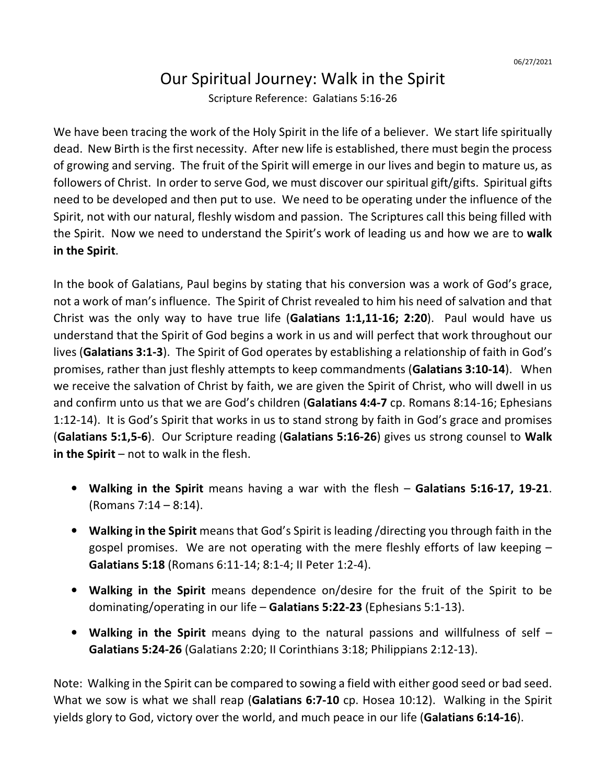## Our Spiritual Journey: Walk in the Spirit

Scripture Reference: Galatians 5:16-26

We have been tracing the work of the Holy Spirit in the life of a believer. We start life spiritually dead. New Birth is the first necessity. After new life is established, there must begin the process of growing and serving. The fruit of the Spirit will emerge in our lives and begin to mature us, as followers of Christ. In order to serve God, we must discover our spiritual gift/gifts. Spiritual gifts need to be developed and then put to use. We need to be operating under the influence of the Spirit, not with our natural, fleshly wisdom and passion. The Scriptures call this being filled with the Spirit. Now we need to understand the Spirit's work of leading us and how we are to **walk in the Spirit**.

In the book of Galatians, Paul begins by stating that his conversion was a work of God's grace, not a work of man's influence. The Spirit of Christ revealed to him his need of salvation and that Christ was the only way to have true life (**Galatians 1:1,11-16; 2:20**). Paul would have us understand that the Spirit of God begins a work in us and will perfect that work throughout our lives (**Galatians 3:1-3**). The Spirit of God operates by establishing a relationship of faith in God's promises, rather than just fleshly attempts to keep commandments (**Galatians 3:10-14**). When we receive the salvation of Christ by faith, we are given the Spirit of Christ, who will dwell in us and confirm unto us that we are God's children (**Galatians 4:4-7** cp. Romans 8:14-16; Ephesians 1:12-14). It is God's Spirit that works in us to stand strong by faith in God's grace and promises (**Galatians 5:1,5-6**). Our Scripture reading (**Galatians 5:16-26**) gives us strong counsel to **Walk**  in the Spirit – not to walk in the flesh.

- **Walking in the Spirit** means having a war with the flesh **Galatians 5:16-17, 19-21**. (Romans 7:14 – 8:14).
- **Walking in the Spirit** means that God's Spirit is leading /directing you through faith in the gospel promises. We are not operating with the mere fleshly efforts of law keeping – **Galatians 5:18** (Romans 6:11-14; 8:1-4; II Peter 1:2-4).
- **Walking in the Spirit** means dependence on/desire for the fruit of the Spirit to be dominating/operating in our life – **Galatians 5:22-23** (Ephesians 5:1-13).
- **Walking in the Spirit** means dying to the natural passions and willfulness of self **Galatians 5:24-26** (Galatians 2:20; II Corinthians 3:18; Philippians 2:12-13).

Note: Walking in the Spirit can be compared to sowing a field with either good seed or bad seed. What we sow is what we shall reap (**Galatians 6:7-10** cp. Hosea 10:12). Walking in the Spirit yields glory to God, victory over the world, and much peace in our life (**Galatians 6:14-16**).